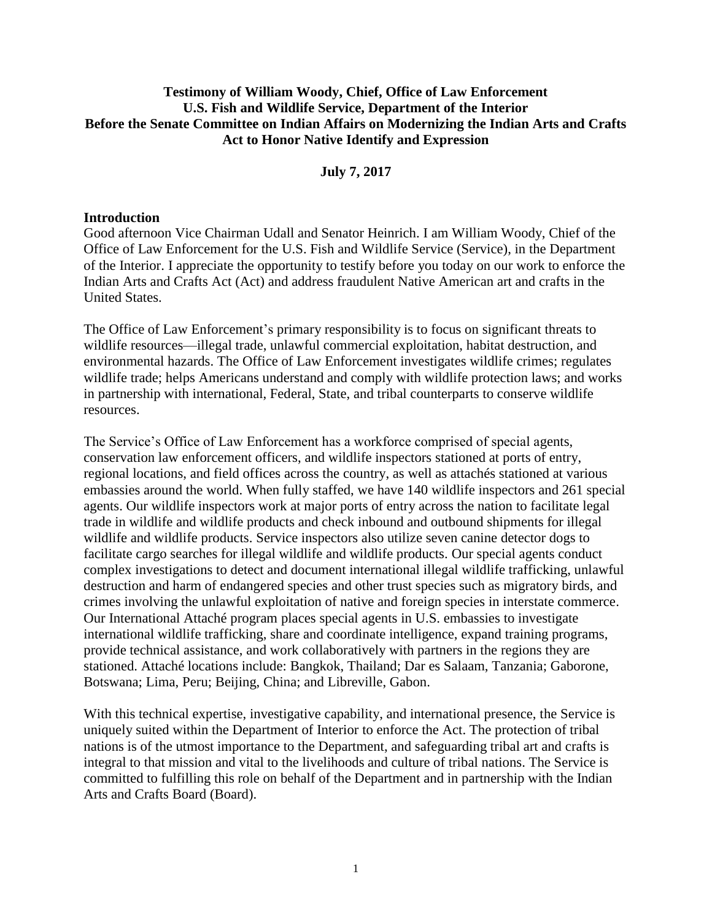# **Testimony of William Woody, Chief, Office of Law Enforcement U.S. Fish and Wildlife Service, Department of the Interior Before the Senate Committee on Indian Affairs on Modernizing the Indian Arts and Crafts Act to Honor Native Identify and Expression**

**July 7, 2017**

### **Introduction**

Good afternoon Vice Chairman Udall and Senator Heinrich. I am William Woody, Chief of the Office of Law Enforcement for the U.S. Fish and Wildlife Service (Service), in the Department of the Interior. I appreciate the opportunity to testify before you today on our work to enforce the Indian Arts and Crafts Act (Act) and address fraudulent Native American art and crafts in the United States.

The Office of Law Enforcement's primary responsibility is to focus on significant threats to wildlife resources—illegal trade, unlawful commercial exploitation, habitat destruction, and environmental hazards. The Office of Law Enforcement investigates wildlife crimes; regulates wildlife trade; helps Americans understand and comply with wildlife protection laws; and works in partnership with international, Federal, State, and tribal counterparts to conserve wildlife resources.

The Service's Office of Law Enforcement has a workforce comprised of special agents, conservation law enforcement officers, and wildlife inspectors stationed at ports of entry, regional locations, and field offices across the country, as well as attachés stationed at various embassies around the world. When fully staffed, we have 140 wildlife inspectors and 261 special agents. Our wildlife inspectors work at major ports of entry across the nation to facilitate legal trade in wildlife and wildlife products and check inbound and outbound shipments for illegal wildlife and wildlife products. Service inspectors also utilize seven canine detector dogs to facilitate cargo searches for illegal wildlife and wildlife products. Our special agents conduct complex investigations to detect and document international illegal wildlife trafficking, unlawful destruction and harm of endangered species and other trust species such as migratory birds, and crimes involving the unlawful exploitation of native and foreign species in interstate commerce. Our International Attaché program places special agents in U.S. embassies to investigate international wildlife trafficking, share and coordinate intelligence, expand training programs, provide technical assistance, and work collaboratively with partners in the regions they are stationed. Attaché locations include: Bangkok, Thailand; Dar es Salaam, Tanzania; Gaborone, Botswana; Lima, Peru; Beijing, China; and Libreville, Gabon.

With this technical expertise, investigative capability, and international presence, the Service is uniquely suited within the Department of Interior to enforce the Act. The protection of tribal nations is of the utmost importance to the Department, and safeguarding tribal art and crafts is integral to that mission and vital to the livelihoods and culture of tribal nations. The Service is committed to fulfilling this role on behalf of the Department and in partnership with the Indian Arts and Crafts Board (Board).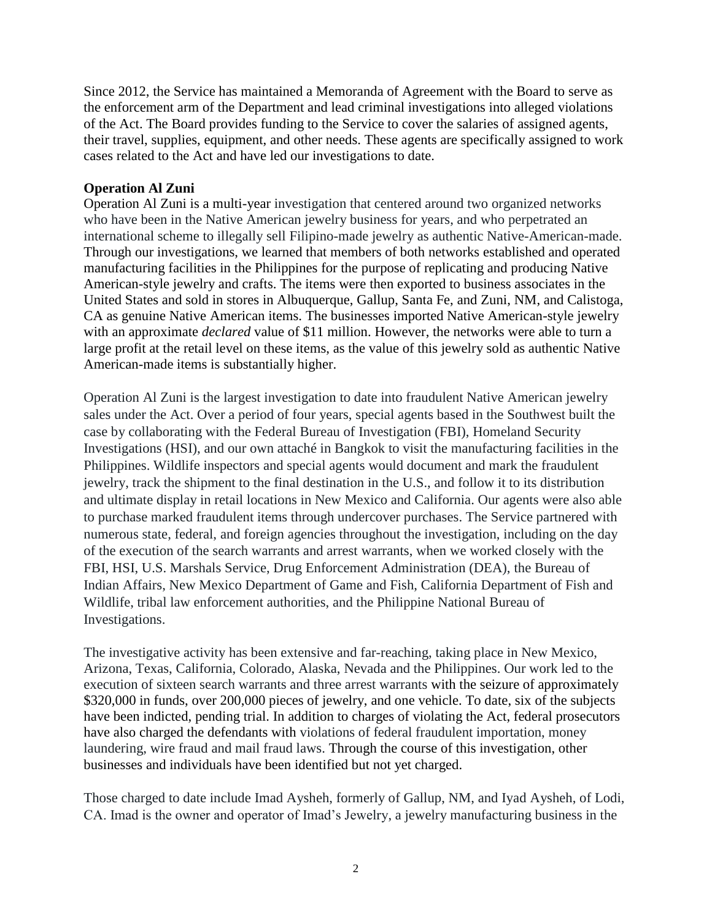Since 2012, the Service has maintained a Memoranda of Agreement with the Board to serve as the enforcement arm of the Department and lead criminal investigations into alleged violations of the Act. The Board provides funding to the Service to cover the salaries of assigned agents, their travel, supplies, equipment, and other needs. These agents are specifically assigned to work cases related to the Act and have led our investigations to date.

# **Operation Al Zuni**

Operation Al Zuni is a multi-year investigation that centered around two organized networks who have been in the Native American jewelry business for years, and who perpetrated an international scheme to illegally sell Filipino-made jewelry as authentic Native-American-made. Through our investigations, we learned that members of both networks established and operated manufacturing facilities in the Philippines for the purpose of replicating and producing Native American-style jewelry and crafts. The items were then exported to business associates in the United States and sold in stores in Albuquerque, Gallup, Santa Fe, and Zuni, NM, and Calistoga, CA as genuine Native American items. The businesses imported Native American-style jewelry with an approximate *declared* value of \$11 million. However, the networks were able to turn a large profit at the retail level on these items, as the value of this jewelry sold as authentic Native American-made items is substantially higher.

Operation Al Zuni is the largest investigation to date into fraudulent Native American jewelry sales under the Act. Over a period of four years, special agents based in the Southwest built the case by collaborating with the Federal Bureau of Investigation (FBI), Homeland Security Investigations (HSI), and our own attaché in Bangkok to visit the manufacturing facilities in the Philippines. Wildlife inspectors and special agents would document and mark the fraudulent jewelry, track the shipment to the final destination in the U.S., and follow it to its distribution and ultimate display in retail locations in New Mexico and California. Our agents were also able to purchase marked fraudulent items through undercover purchases. The Service partnered with numerous state, federal, and foreign agencies throughout the investigation, including on the day of the execution of the search warrants and arrest warrants, when we worked closely with the FBI, HSI, U.S. Marshals Service, Drug Enforcement Administration (DEA), the Bureau of Indian Affairs, New Mexico Department of Game and Fish, California Department of Fish and Wildlife, tribal law enforcement authorities, and the Philippine National Bureau of Investigations.

The investigative activity has been extensive and far-reaching, taking place in New Mexico, Arizona, Texas, California, Colorado, Alaska, Nevada and the Philippines. Our work led to the execution of sixteen search warrants and three arrest warrants with the seizure of approximately \$320,000 in funds, over 200,000 pieces of jewelry, and one vehicle. To date, six of the subjects have been indicted, pending trial. In addition to charges of violating the Act, federal prosecutors have also charged the defendants with violations of federal fraudulent importation, money laundering, wire fraud and mail fraud laws. Through the course of this investigation, other businesses and individuals have been identified but not yet charged.

Those charged to date include Imad Aysheh, formerly of Gallup, NM, and Iyad Aysheh, of Lodi, CA. Imad is the owner and operator of Imad's Jewelry, a jewelry manufacturing business in the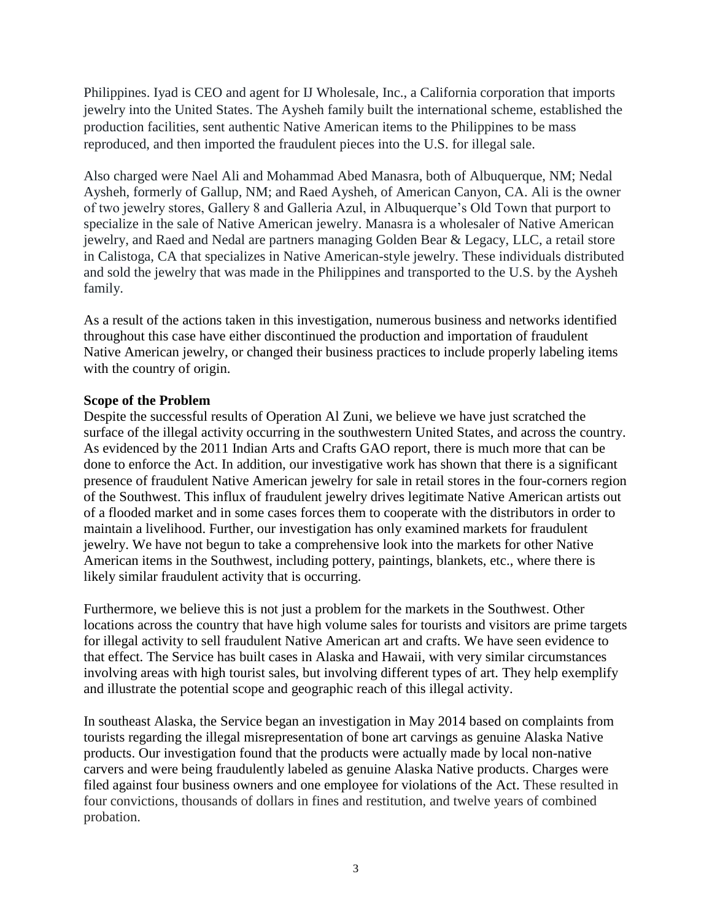Philippines. Iyad is CEO and agent for IJ Wholesale, Inc., a California corporation that imports jewelry into the United States. The Aysheh family built the international scheme, established the production facilities, sent authentic Native American items to the Philippines to be mass reproduced, and then imported the fraudulent pieces into the U.S. for illegal sale.

Also charged were Nael Ali and Mohammad Abed Manasra, both of Albuquerque, NM; Nedal Aysheh, formerly of Gallup, NM; and Raed Aysheh, of American Canyon, CA. Ali is the owner of two jewelry stores, Gallery 8 and Galleria Azul, in Albuquerque's Old Town that purport to specialize in the sale of Native American jewelry. Manasra is a wholesaler of Native American jewelry, and Raed and Nedal are partners managing Golden Bear & Legacy, LLC, a retail store in Calistoga, CA that specializes in Native American-style jewelry. These individuals distributed and sold the jewelry that was made in the Philippines and transported to the U.S. by the Aysheh family.

As a result of the actions taken in this investigation, numerous business and networks identified throughout this case have either discontinued the production and importation of fraudulent Native American jewelry, or changed their business practices to include properly labeling items with the country of origin.

#### **Scope of the Problem**

Despite the successful results of Operation Al Zuni, we believe we have just scratched the surface of the illegal activity occurring in the southwestern United States, and across the country. As evidenced by the 2011 Indian Arts and Crafts GAO report, there is much more that can be done to enforce the Act. In addition, our investigative work has shown that there is a significant presence of fraudulent Native American jewelry for sale in retail stores in the four-corners region of the Southwest. This influx of fraudulent jewelry drives legitimate Native American artists out of a flooded market and in some cases forces them to cooperate with the distributors in order to maintain a livelihood. Further, our investigation has only examined markets for fraudulent jewelry. We have not begun to take a comprehensive look into the markets for other Native American items in the Southwest, including pottery, paintings, blankets, etc., where there is likely similar fraudulent activity that is occurring.

Furthermore, we believe this is not just a problem for the markets in the Southwest. Other locations across the country that have high volume sales for tourists and visitors are prime targets for illegal activity to sell fraudulent Native American art and crafts. We have seen evidence to that effect. The Service has built cases in Alaska and Hawaii, with very similar circumstances involving areas with high tourist sales, but involving different types of art. They help exemplify and illustrate the potential scope and geographic reach of this illegal activity.

In southeast Alaska, the Service began an investigation in May 2014 based on complaints from tourists regarding the illegal misrepresentation of bone art carvings as genuine Alaska Native products. Our investigation found that the products were actually made by local non-native carvers and were being fraudulently labeled as genuine Alaska Native products. Charges were filed against four business owners and one employee for violations of the Act. These resulted in four convictions, thousands of dollars in fines and restitution, and twelve years of combined probation.